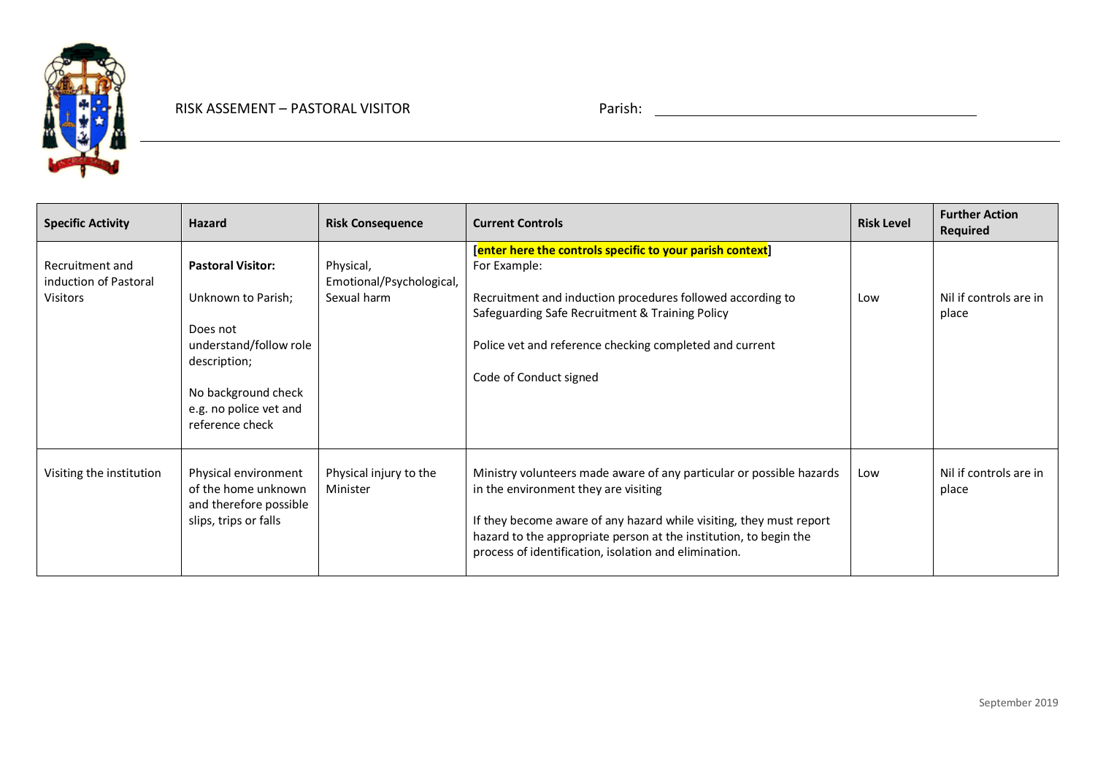

| <b>Specific Activity</b>                                    | <b>Hazard</b>                                                                                                                                                            | <b>Risk Consequence</b>                              | <b>Current Controls</b>                                                                                                                                                                                                                                                                                           | <b>Risk Level</b> | <b>Further Action</b><br>Required |
|-------------------------------------------------------------|--------------------------------------------------------------------------------------------------------------------------------------------------------------------------|------------------------------------------------------|-------------------------------------------------------------------------------------------------------------------------------------------------------------------------------------------------------------------------------------------------------------------------------------------------------------------|-------------------|-----------------------------------|
| Recruitment and<br>induction of Pastoral<br><b>Visitors</b> | <b>Pastoral Visitor:</b><br>Unknown to Parish;<br>Does not<br>understand/follow role<br>description;<br>No background check<br>e.g. no police vet and<br>reference check | Physical,<br>Emotional/Psychological,<br>Sexual harm | [enter here the controls specific to your parish context]<br>For Example:<br>Recruitment and induction procedures followed according to<br>Safeguarding Safe Recruitment & Training Policy<br>Police vet and reference checking completed and current<br>Code of Conduct signed                                   | Low               | Nil if controls are in<br>place   |
| Visiting the institution                                    | Physical environment<br>of the home unknown<br>and therefore possible<br>slips, trips or falls                                                                           | Physical injury to the<br>Minister                   | Ministry volunteers made aware of any particular or possible hazards<br>in the environment they are visiting<br>If they become aware of any hazard while visiting, they must report<br>hazard to the appropriate person at the institution, to begin the<br>process of identification, isolation and elimination. | Low               | Nil if controls are in<br>place   |